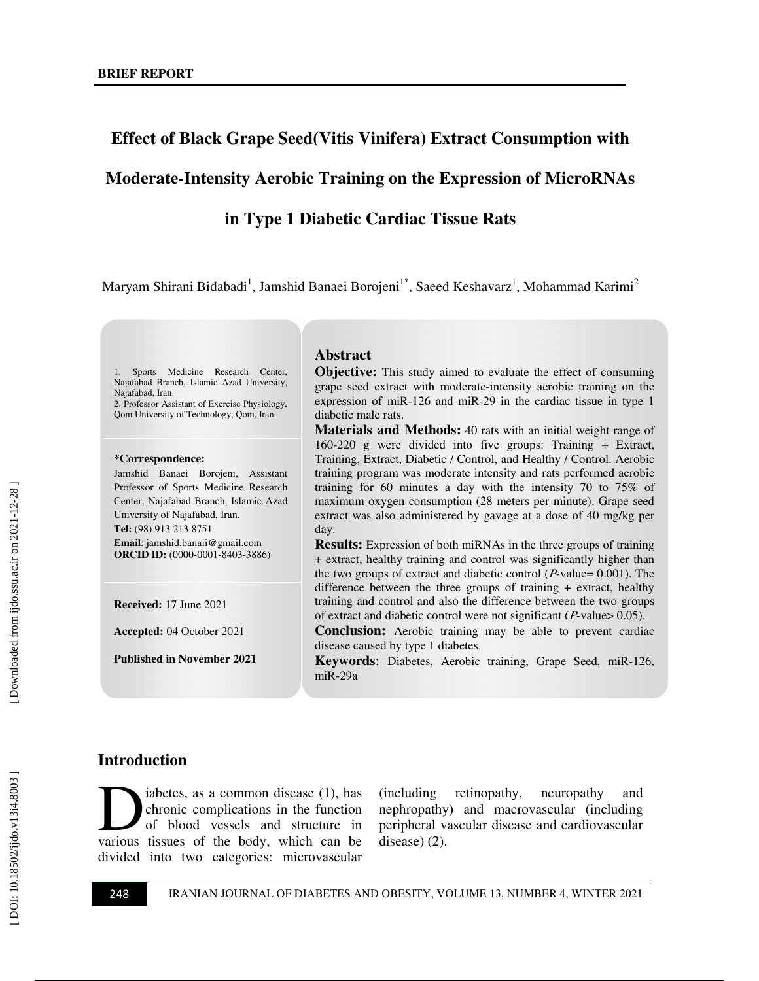## **Effect of Black Grape Seed(Vitis Vinifera) Extract Consumption with**

#### **Moderate-Intensity Aerobic Training on the Expression of MicroRNAs**

#### **in Type 1 Diabetic Cardiac Tissue Rats**

Maryam Shirani Bidabadi<sup>1</sup>, Jamshid Banaei Borojeni<sup>1\*</sup>, Saeed Keshavarz<sup>1</sup>, Mohammad Karimi<sup>2</sup>

Sports Medicine Research Center, Najafabad Branch, Islamic Azad University, Najafabad, Iran. 2. Professor Assistant of Exercise Physiology,

Qom University of Technology, Qom, Iran.

#### **\*Correspondence:**

Jamshid Banaei Borojeni, Assistant Professor of Sports Medicine Research Center, Najafabad Branch, Islamic Azad University of Najafabad, Iran. **Tel:** (98) 913 213 8751 **Email**: jamshid.banaii@gmail.com **ORCID ID:** (0000-0001-8403-3886 )

**Received:** 17 June 2021

**Accepted:** 04 October 2021

**Published in November 2021** 

#### **Abstract**

**Objective:** This study aimed to evaluate the effect of consuming grape seed extract with moderate-intensity aerobic training on the expression of miR-126 and miR-29 in the cardiac tissue in type 1 diabetic male rats.

**Materials and Methods:** 40 rats with an initial weight range of 160-220 g were divided into five groups: Training + Extract, Training, Extract, Diabetic / Control, and Healthy / Control. Aerobic training program was moderate intensity and rats performed aerobic training for 60 minutes a day with the intensity 70 to 75% of maximum oxygen consumption (28 meters per minute). Grape seed extract was also administered by gavage at a dose of 40 mg/kg per day.

**Results:** Expression of both miRNAs in the three groups of training + extract, healthy training and control was significantly higher than the two groups of extract and diabetic control ( $P$ -value= 0.001). The difference between the three groups of training + extract, healthy training and control and also the difference between the two groups of extract and diabetic control were not significant ( $P$ -value> 0.05).

**Conclusion:** Aerobic training may be able to prevent cardiac disease caused by type 1 diabetes .

**Keywords**: Diabetes, Aerobic training, Grape Seed, miR-126, miR-29a

#### **Introduction**

iabetes, as a common disease (1), has chronic complications in the function of blood vessels and structure in iabetes, as a common disease (1), has chronic complications in the function of blood vessels and structure in various tissues of the body, which can be divided into two categories: microvascular

(including retinopathy, neuropathy and nephropathy) and macrovascular (including peripheral vascular disease and cardiovascular disease) (2).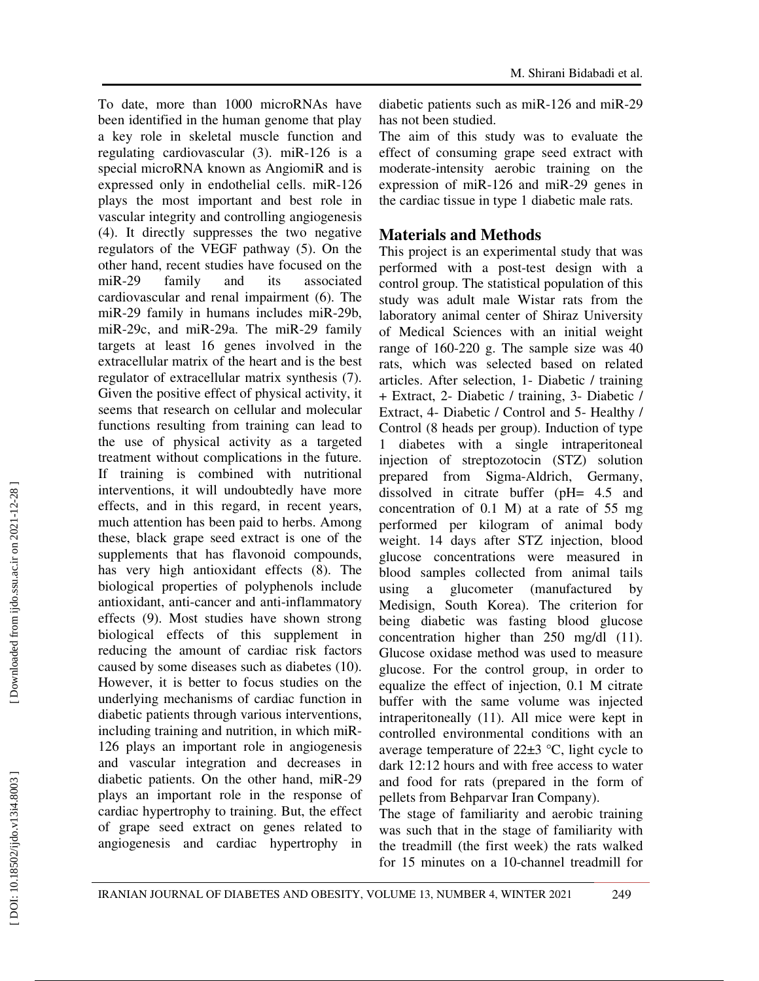To date, more than 1000 microRNAs have been identified in the human genome that play a key role in skeletal muscle function and regulating cardiovascular (3). miR-126 is a special microRNA known as AngiomiR and is expressed only in endothelial cells. miR-126 plays the most important and best role in vascular integrity and controlling angiogenesis (4). It directly suppresses the two negative regulators of the VEGF pathway (5). On the other hand, recent studies have focused on the miR-29 family and its associated cardiovascular and renal impairment (6). The miR-29 family in humans includes miR-29b, miR-29c, and miR-29a. The miR-29 family targets at least 16 genes involved in the extracellular matrix of the heart and is the best regulator of extracellular matrix synthesis (7). Given the positive effect of physical activity, it seems that research on cellular and molecular functions resulting from training can lead to the use of physical activity as a targeted treatment without complications in the future. If training is combined with nutritional interventions, it will undoubtedly have more effects, and in this regard, in recent years, much attention has been paid to herbs. Among these, black grape seed extract is one of the supplements that has flavonoid compounds, has very high antioxidant effects (8). The biological properties of polyphenols include antioxidant, anti-cancer and anti-inflammatory effects (9). Most studies have shown strong biological effects of this supplement in reducing the amount of cardiac risk factors caused by some diseases such as diabetes (10). However, it is better to focus studies on the underlying mechanisms of cardiac function in diabetic patients through various interventions, including training and nutrition, in which miR-126 plays an important role in angiogenesis and vascular integration and decreases in diabetic patients. On the other hand, miR-29 plays an important role in the response of cardiac hypertrophy to training. But, the effect of grape seed extract on genes related to angiogenesis and cardiac hypertrophy in

The aim of this study was to evaluate the effect of consuming grape seed extract with moderate-intensity aerobic training on the expression of miR-126 and miR-29 genes in the cardiac tissue in type 1 diabetic male rats.

# **Materials and Methods**

This project is an experimental study that was performed with a post-test design with a control group. The statistical population of this study was adult male Wistar rats from the laboratory animal center of Shiraz University of Medical Sciences with an initial weight range of 160-220 g. The sample size was 40 rats, which was selected based on related articles. After selection, 1- Diabetic / training + Extract, 2- Diabetic / training, 3- Diabetic / Extract, 4- Diabetic / Control and 5- Healthy / Control (8 heads per group). Induction of type diabetes with a single intraperitoneal injection of streptozotocin (STZ) solution prepared from Sigma-Aldrich, Germany, dissolved in citrate buffer (pH= 4.5 and concentration of 0.1 M) at a rate of 55 mg performed per kilogram of animal body weight. 14 days after STZ injection, blood glucose concentrations were measured in blood samples collected from animal tails using a glucometer (manufactured by Medisign, South Korea). The criterion for being diabetic was fasting blood glucose concentration higher than 250 mg/dl (11). Glucose oxidase method was used to measure glucose. For the control group, in order to equalize the effect of injection, 0.1 M citrate buffer with the same volume was injected intraperitoneally (11). All mice were kept in controlled environmental conditions with an average temperature of  $22\pm3$  °C, light cycle to dark 12:12 hours and with free access to water and food for rats (prepared in the form of pellets from Behparvar Iran Company).

The stage of familiarity and aerobic training was such that in the stage of familiarity with the treadmill (the first week) the rats walked for 15 minutes on a 10-channel treadmill for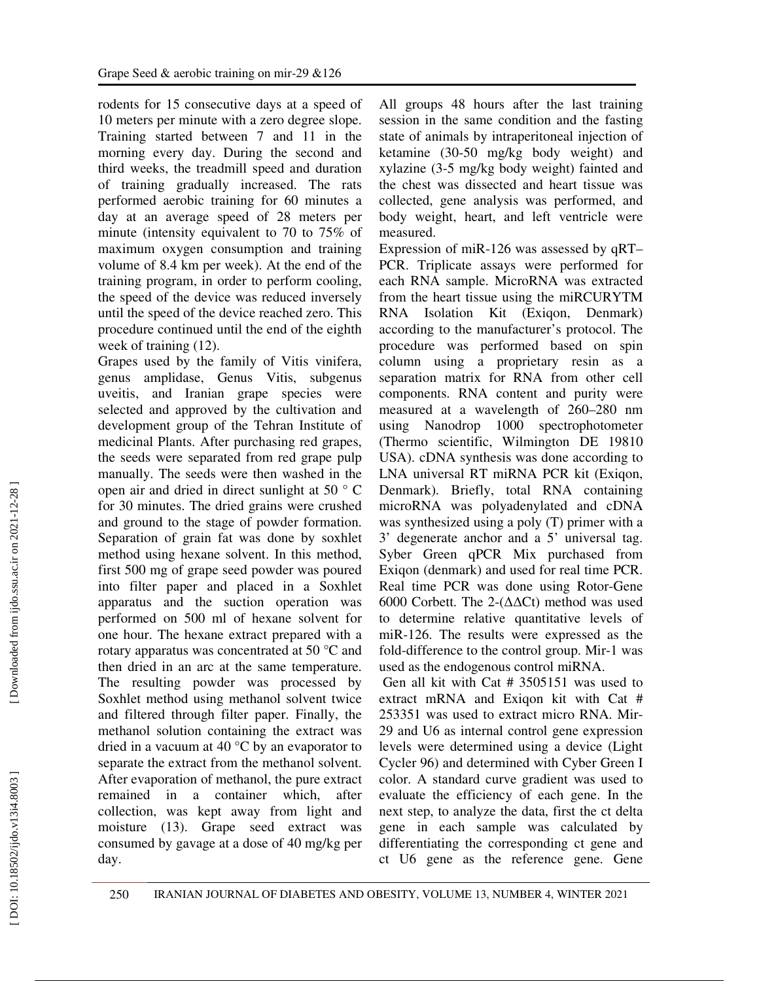rodents for 15 consecutive days at a speed of 10 meters per minute with a zero degree slope. Training started between 7 and 11 in the morning every day. During the second and third weeks, the treadmill speed and duration of training gradually increased. The rats performed aerobic training for 60 minutes a day at an average speed of 28 meters per minute (intensity equivalent to 70 to 75% of maximum oxygen consumption and training volume of 8.4 km per week). At the end of the training program, in order to perform cooling, the speed of the device was reduced inversely until the speed of the device reached zero. This procedure continued until the end of the eighth week of training (12).

Grapes used by the family of Vitis vinifera, genus amplidase, Genus Vitis, subgenus uveitis, and Iranian grape species were selected and approved by the cultivation and development group of the Tehran Institute of medicinal Plants. After purchasing red grapes, the seeds were separated from red grape pulp manually. The seeds were then washed in the open air and dried in direct sunlight at 50 ° C for 30 minutes. The dried grains were crushed and ground to the stage of powder formation. Separation of grain fat was done by soxhlet method using hexane solvent. In this method, first 500 mg of grape seed powder was poured into filter paper and placed in a Soxhlet apparatus and the suction operation was performed on 500 ml of hexane solvent for one hour. The hexane extract prepared with a rotary apparatus was concentrated at 50 °C and then dried in an arc at the same temperature. The resulting powder was processed by Soxhlet method using methanol solvent twice and filtered through filter paper. Finally, the methanol solution containing the extract was dried in a vacuum at 40 °C by an evaporator to separate the extract from the methanol solvent. After evaporation of methanol, the pure extract remained in a container which, after collection, was kept away from light and moisture (13). Grape seed extract was consumed by gavage at a dose of 40 mg/kg per day.

All groups 48 hours after the last training session in the same condition and the fasting state of animals by intraperitoneal injection of ketamine (30-50 mg/kg body weight) and xylazine (3-5 mg/kg body weight) fainted and the chest was dissected and heart tissue was collected, gene analysis was performed, and body weight, heart, and left ventricle were measured.

Expression of miR-126 was assessed by qRT– PCR. Triplicate assays were performed for each RNA sample. MicroRNA was extracted from the heart tissue using the miRCURYTM RNA Isolation Kit (Exiqon, Denmark) according to the manufacturer's protocol. The procedure was performed based on spin column using a proprietary resin as a separation matrix for RNA from other cell components. RNA content and purity were measured at a wavelength of 260–280 nm using Nanodrop 1000 spectrophotometer (Thermo scientific, Wilmington DE 19810 USA). cDNA synthesis was done according to LNA universal RT miRNA PCR kit (Exiqon, Denmark). Briefly, total RNA containing microRNA was polyadenylated and cDNA was synthesized using a poly (T) primer with a 3' degenerate anchor and a 5' universal tag. Syber Green qPCR Mix purchased from Exiqon (denmark) and used for real time PCR. Real time PCR was done using Rotor-Gene 6000 Corbett. The 2-(∆∆Ct) method was used to determine relative quantitative levels of miR-126. The results were expressed as the fold-difference to the control group. Mir-1 was used as the endogenous control miRNA.

 Gen all kit with Cat # 3505151 was used to extract mRNA and Exigon kit with Cat # 253351 was used to extract micro RNA. Mir-29 and U6 as internal control gene expression levels were determined using a device (Light Cycler 96) and determined with Cyber Green I color. A standard curve gradient was used to evaluate the efficiency of each gene. In the next step, to analyze the data, first the ct delta gene in each sample was calculated by differentiating the corresponding ct gene and ct U6 gene as the reference gene. Gene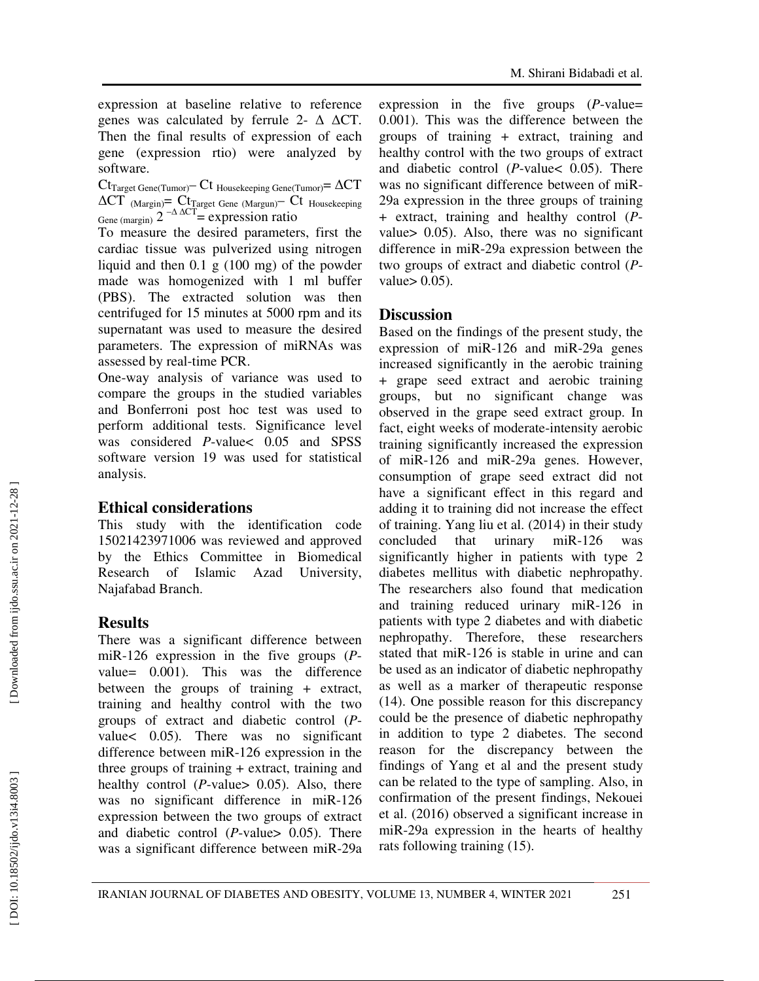expression at baseline relative to reference genes was calculated by ferrule 2-  $\triangle$   $\triangle$ CT. Then the final results of expression of each gene (expression rtio) were analyzed by software.

 $\rm Ct_{Target\,Gene(Tumor)}\!\!- C$ t Housekeeping Gene(Tumor)=  $\Delta \rm CT$  $\Delta CT$  (Margin)=  $\rm Ct_{Target}$  Gene (Margun)  $\rm Ct_{\rm Housekeeping}$ Gene (margin)  $2^{-\Delta \Delta CT}$  = expression ratio

To measure the desired parameters, first the cardiac tissue was pulverized using nitrogen liquid and then 0.1 g (100 mg) of the powder made was homogenized with 1 ml buffer (PBS). The extracted solution was then centrifuged for 15 minutes at 5000 rpm and its supernatant was used to measure the desired parameters. The expression of miRNAs was assessed by real-time PCR.

One-way analysis of variance was used to compare the groups in the studied variables and Bonferroni post hoc test was used to perform additional tests. Significance level was considered  $P$ -value <  $0.05$  and SPSS software version 19 was used for statistical analysis.

## **Ethical considerations**

This study with the identification code 15021423971006 was reviewed and approved by the Ethics Committee in Biomedical Research of Islamic Azad University, Najafabad Branch.

## **Results**

There was a significant difference between miR-126 expression in the five groups ( *P* value= 0.001). This was the difference between the groups of training + extract, training and healthy control with the two groups of extract and diabetic control ( *P* value< 0.05). There was no significant difference between miR-126 expression in the three groups of training + extract, training and healthy control (*P*-value> 0.05). Also, there was no significant difference in miR-126 expression between the two groups of extract and diabetic control  $(P$ -value>  $0.05)$ . There was a significant difference between miR-29a

expression in the five groups ( *P*-value= 0.001). This was the difference between the groups of training + extract, training and healthy control with the two groups of extract and diabetic control ( $P$ -value < 0.05). There was no significant difference between of miR-29a expression in the three groups of training + extract, training and healthy control ( *P* value> 0.05). Also, there was no significant difference in miR-29a expression between the two groups of extract and diabetic control ( *P* value $> 0.05$ ).

## **Discussion**

Based on the findings of the present study, the expression of miR-126 and miR-29a genes increased significantly in the aerobic training + grape seed extract and aerobic training groups, but no significant change was observed in the grape seed extract group. In fact, eight weeks of moderate-intensity aerobic training significantly increased the expression of miR-126 and miR-29a genes. However, consumption of grape seed extract did not have a significant effect in this regard and adding it to training did not increase the effect of training. Yang liu et al. (2014) in their study concluded that urinary miR-126 was significantly higher in patients with type 2 diabetes mellitus with diabetic nephropathy. The researchers also found that medication and training reduced urinary miR-126 in patients with type 2 diabetes and with diabetic nephropathy. Therefore, these researchers stated that miR-126 is stable in urine and can be used as an indicator of diabetic nephropathy as well as a marker of therapeutic response (14). One possible reason for this discrepancy could be the presence of diabetic nephropathy in addition to type 2 diabetes. The second reason for the discrepancy between the findings of Yang et al and the present study can be related to the type of sampling. Also, in confirmation of the present findings, Nekouei et al. (2016) observed a significant increase in miR-29a expression in the hearts of healthy rats following training (15).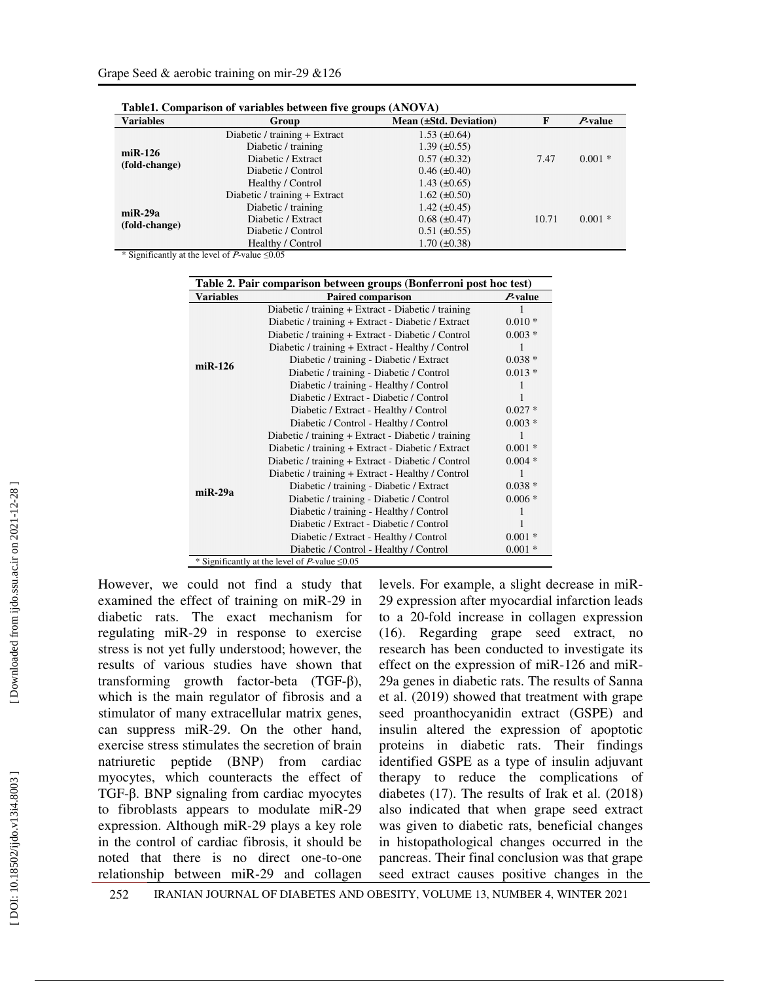| <b>Variables</b>                | $\sim$<br>Group               | Mean (±Std. Deviation) | F     | $P$ -value |
|---------------------------------|-------------------------------|------------------------|-------|------------|
| $m$ i R $-126$<br>(fold-change) | Diabetic / training + Extract | $1.53 \ (\pm 0.64)$    |       |            |
|                                 | Diabetic / training           | $1.39 \ (\pm 0.55)$    |       |            |
|                                 | Diabetic / Extract            | $0.57 (\pm 0.32)$      | 7.47  | $0.001*$   |
|                                 | Diabetic / Control            | $0.46 \ (\pm 0.40)$    |       |            |
|                                 | Healthy / Control             | $1.43 \ (\pm 0.65)$    |       |            |
| $m$ i R $-29a$<br>(fold-change) | Diabetic / training + Extract | $1.62 \ (\pm 0.50)$    |       |            |
|                                 | Diabetic / training           | $1.42 \ (\pm 0.45)$    |       |            |
|                                 | Diabetic / Extract            | $0.68 \ (\pm 0.47)$    | 10.71 | $0.001*$   |
|                                 | Diabetic / Control            | $0.51 (\pm 0.55)$      |       |            |
|                                 | Healthy / Control             | $1.70 \ (\pm 0.38)$    |       |            |

**Table1. Comparison of variables between five groups (ANOVA)**

\* Significantly at the level of  $P$ -value  $\leq 0.05$ 

| Table 2. Pair comparison between groups (Bonferroni post hoc test) |                                                     |            |  |  |
|--------------------------------------------------------------------|-----------------------------------------------------|------------|--|--|
| <b>Variables</b>                                                   | <b>Paired comparison</b>                            | $P$ -value |  |  |
|                                                                    | Diabetic / training + Extract - Diabetic / training |            |  |  |
|                                                                    | Diabetic / training + Extract - Diabetic / Extract  | $0.010*$   |  |  |
|                                                                    | Diabetic / training + Extract - Diabetic / Control  | $0.003*$   |  |  |
|                                                                    | Diabetic / training + Extract - Healthy / Control   |            |  |  |
| $miR-126$                                                          | Diabetic / training - Diabetic / Extract            | $0.038*$   |  |  |
|                                                                    | Diabetic / training - Diabetic / Control            | $0.013*$   |  |  |
|                                                                    | Diabetic / training - Healthy / Control             |            |  |  |
|                                                                    | Diabetic / Extract - Diabetic / Control             |            |  |  |
|                                                                    | Diabetic / Extract - Healthy / Control              | $0.027*$   |  |  |
|                                                                    | Diabetic / Control - Healthy / Control              | $0.003*$   |  |  |
|                                                                    | Diabetic / training + Extract - Diabetic / training |            |  |  |
|                                                                    | Diabetic / training + Extract - Diabetic / Extract  | $0.001*$   |  |  |
|                                                                    | Diabetic / training + Extract - Diabetic / Control  | $0.004*$   |  |  |
|                                                                    | Diabetic / training + Extract - Healthy / Control   |            |  |  |
| $miR-29a$                                                          | Diabetic / training - Diabetic / Extract            | $0.038*$   |  |  |
|                                                                    | Diabetic / training - Diabetic / Control            | $0.006*$   |  |  |
|                                                                    | Diabetic / training - Healthy / Control             |            |  |  |
|                                                                    | Diabetic / Extract - Diabetic / Control             |            |  |  |
|                                                                    | Diabetic / Extract - Healthy / Control              | $0.001*$   |  |  |
|                                                                    | Diabetic / Control - Healthy / Control              | $0.001*$   |  |  |
|                                                                    | * Significantly at the level of P-value $\leq 0.05$ |            |  |  |

However, we could not find a study that examined the effect of training on miR-29 in diabetic rats. The exact mechanism for regulating miR-29 in response to exercise stress is not yet fully understood; however, the results of various studies have shown that transforming growth factor-beta (TGF-β), which is the main regulator of fibrosis and a stimulator of many extracellular matrix genes, can suppress miR-29. On the other hand, exercise stress stimulates the secretion of brain natriuretic peptide (BNP) from cardiac myocytes, which counteracts the effect of TGF-β. BNP signaling from cardiac myocytes to fibroblasts appears to modulate miR-29 expression. Although miR-29 plays a key role in the control of cardiac fibrosis, it should be noted that there is no direct one-to-one relationship between miR-29 and collagen

levels. For example, a slight decrease in miR-29 expression after myocardial infarction leads to a 20-fold increase in collagen expression (16). Regarding grape seed extract, no research has been conducted to investigate its effect on the expression of miR-126 and miR-29a genes in diabetic rats. The results of Sanna et al. (2019) showed that treatment with grape seed proanthocyanidin extract (GSPE) and insulin altered the expression of apoptotic proteins in diabetic rats. Their findings identified GSPE as a type of insulin adjuvant therapy to reduce the complications of diabetes (17). The results of Irak et al. (2018) also indicated that when grape seed extract was given to diabetic rats, beneficial changes in histopathological changes occurred in the pancreas. Their final conclusion was that grape seed extract causes positive changes in the

252 IRANIAN JOURNAL OF DIABETES AND OBESITY, VOLUME 13, NUMBER 4, WINTER 2021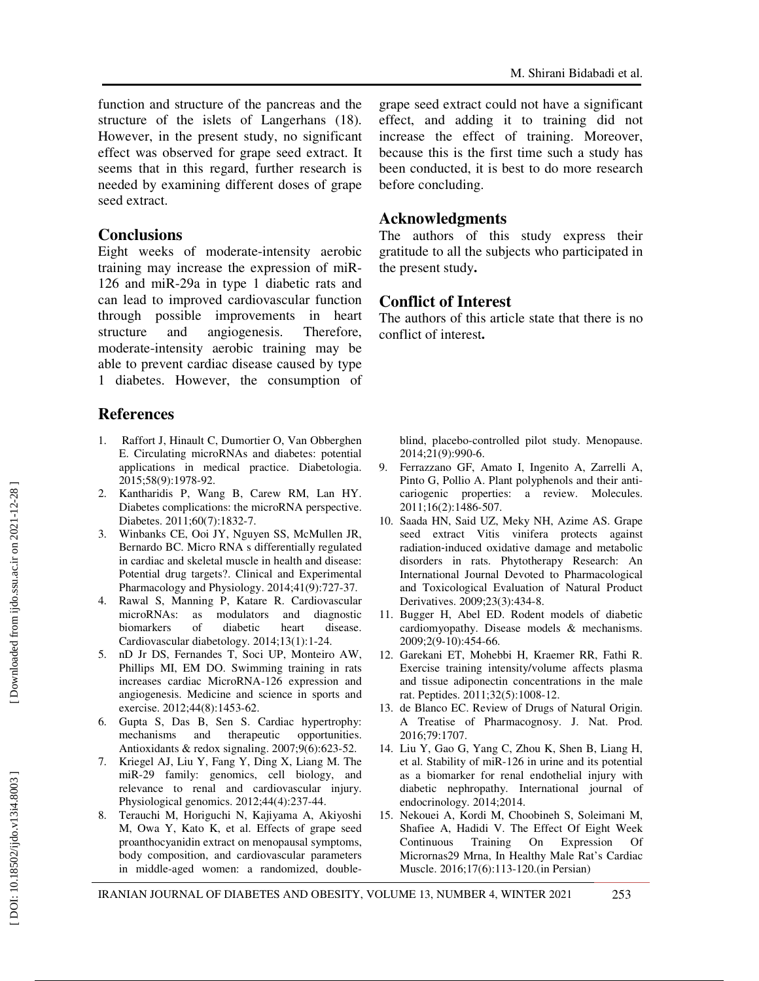function and structure of the pancreas and the structure of the islets of Langerhans (18). However, in the present study, no significant effect was observed for grape seed extract. It seems that in this regard, further research is needed by examining different doses of grape seed extract.

#### **Conclusions**

Eight weeks of moderate-intensity aerobic training may increase the expression of miR-126 and miR-29a in type 1 diabetic rats and can lead to improved cardiovascular function through possible improvements in heart structure and angiogenesis. Therefore, moderate-intensity aerobic training may be able to prevent cardiac disease caused by type 1 diabetes. However, the consumption of

# **References**

- 1. Raffort J, Hinault C, Dumortier O, Van Obberghen E. Circulating microRNAs and diabetes: potential applications in medical practice. Diabetologia. 2015;58(9):1978-92.
- 2. Kantharidis P, Wang B, Carew RM, Lan HY. Diabetes complications: the microRNA perspective. Diabetes. 2011;60(7):1832-7.
- 3. Winbanks CE, Ooi JY, Nguyen SS, McMullen JR, Bernardo BC. Micro RNA s differentially regulated in cardiac and skeletal muscle in health and disease: Potential drug targets?. Clinical and Experimental Pharmacology and Physiology. 2014;41(9):727-37.
- 4. Rawal S, Manning P, Katare R. Cardiovascular microRNAs: as modulators and diagnostic biomarkers of diabetic heart disease. Cardiovascular diabetology. 2014;13(1):1-24.
- 5. nD Jr DS, Fernandes T, Soci UP, Monteiro AW, Phillips MI, EM DO. Swimming training in rats increases cardiac MicroRNA-126 expression and angiogenesis. Medicine and science in sports and exercise. 2012;44(8):1453-62.
- 6. Gupta S, Das B, Sen S. Cardiac hypertrophy: mechanisms and therapeutic opportunities. Antioxidants & redox signaling. 2007;9(6):623-52.
- 7. Kriegel AJ, Liu Y, Fang Y, Ding X, Liang M. The miR-29 family: genomics, cell biology, and relevance to renal and cardiovascular injury. Physiological genomics. 2012;44(4):237-44.
- 8. Terauchi M, Horiguchi N, Kajiyama A, Akiyoshi M, Owa Y, Kato K, et al. Effects of grape seed proanthocyanidin extract on menopausal symptoms, body composition, and cardiovascular parameters in middle-aged women: a randomized, double-

grape seed extract could not have a significant effect, and adding it to training did not increase the effect of training. Moreover, because this is the first time such a study has been conducted, it is best to do more research before concluding.

#### **Acknowledgments**

The authors of this study express their gratitude to all the subjects who participated in the present study **.**

# **Conflict of Interest**

The authors of this article state that there is no conflict of interest **.**

blind, placebo-controlled pilot study. Menopause. 2014;21(9):990-6.

- 9. Ferrazzano GF, Amato I, Ingenito A, Zarrelli A, Pinto G, Pollio A. Plant polyphenols and their anti cariogenic properties: a review. Molecules. 2011;16(2):1486-507.
- 10. Saada HN, Said UZ, Meky NH, Azime AS. Grape seed extract Vitis vinifera protects against radiation ‐induced oxidative damage and metabolic disorders in rats. Phytotherapy Research: An International Journal Devoted to Pharmacological and Toxicological Evaluation of Natural Product Derivatives. 2009;23(3):434-8.
- 11. Bugger H, Abel ED. Rodent models of diabetic cardiomyopathy. Disease models & mechanisms. 2009;2(9-10):454-66.
- 12. Garekani ET, Mohebbi H, Kraemer RR, Fathi R. Exercise training intensity/volume affects plasma and tissue adiponectin concentrations in the male rat. Peptides. 2011;32(5):1008-12.
- 13. de Blanco EC. Review of Drugs of Natural Origin. A Treatise of Pharmacognosy. J. Nat. Prod. 2016;79:1707.
- 14. Liu Y, Gao G, Yang C, Zhou K, Shen B, Liang H, et al. Stability of miR-126 in urine and its potential as a biomarker for renal endothelial injury with diabetic nephropathy. International journal of endocrinology. 2014;2014.
- 15. Nekouei A, Kordi M, Choobineh S, Soleimani M, Shafiee A, Hadidi V. The Effect Of Eight Week Continuous Training On Expression Of Micrornas29 Mrna, In Healthy Male Rat's Cardiac Muscle. 2016;17(6):113-120.(in Persian)